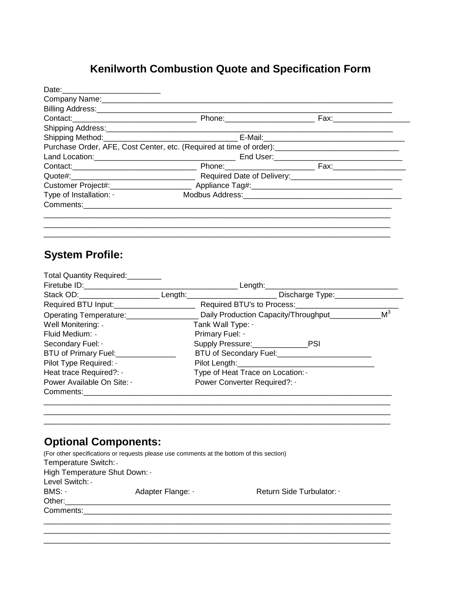## **Kenilworth Combustion Quote and Specification Form**

| Date: __________________________                                                                                |                                                                                                                                              |  |  |
|-----------------------------------------------------------------------------------------------------------------|----------------------------------------------------------------------------------------------------------------------------------------------|--|--|
|                                                                                                                 |                                                                                                                                              |  |  |
| Billing Address: Management of the Address of the Address of the Address of the Address of the Address of the A |                                                                                                                                              |  |  |
|                                                                                                                 |                                                                                                                                              |  |  |
|                                                                                                                 |                                                                                                                                              |  |  |
|                                                                                                                 |                                                                                                                                              |  |  |
|                                                                                                                 | Purchase Order, AFE, Cost Center, etc. (Required at time of order): [11] Durchase Order, AFE, Cost Center, etc. (Required at time of order): |  |  |
|                                                                                                                 |                                                                                                                                              |  |  |
|                                                                                                                 |                                                                                                                                              |  |  |
|                                                                                                                 |                                                                                                                                              |  |  |
|                                                                                                                 |                                                                                                                                              |  |  |
| Type of Installation: -                                                                                         |                                                                                                                                              |  |  |
|                                                                                                                 |                                                                                                                                              |  |  |
|                                                                                                                 |                                                                                                                                              |  |  |
|                                                                                                                 |                                                                                                                                              |  |  |

\_\_\_\_\_\_\_\_\_\_\_\_\_\_\_\_\_\_\_\_\_\_\_\_\_\_\_\_\_\_\_\_\_\_\_\_\_\_\_\_\_\_\_\_\_\_\_\_\_\_\_\_\_\_\_\_\_\_\_\_\_\_\_\_\_\_\_\_\_\_\_\_\_\_\_\_\_\_\_\_\_

## **System Profile:**

| Total Quantity Required: Total Quantity Required:                                                                 |                                                                                                      |                |
|-------------------------------------------------------------------------------------------------------------------|------------------------------------------------------------------------------------------------------|----------------|
|                                                                                                                   | Length:________________________________                                                              |                |
|                                                                                                                   | Stack OD:__________________________Length:_____________________________Discharge Type:______________ |                |
| Required BTU Input:__________________________                                                                     |                                                                                                      |                |
| Operating Temperature: Change and Changes and Changes and Changes and Changes and Changes and Changes and Changes | Daily Production Capacity/Throughput                                                                 | M <sup>3</sup> |
| Well Monitering: -                                                                                                | Tank Wall Type: -                                                                                    |                |
| Fluid Medium: -                                                                                                   | Primary Fuel: -                                                                                      |                |
| Secondary Fuel: -                                                                                                 | Supply Pressure: PSI                                                                                 |                |
| BTU of Primary Fuel:                                                                                              | BTU of Secondary Fuel:<br><u>Fig. 1</u>                                                              |                |
| Pilot Type Required: -                                                                                            |                                                                                                      |                |
| Heat trace Required?: -                                                                                           | Type of Heat Trace on Location: -                                                                    |                |
| Power Available On Site: -                                                                                        | Power Converter Required?: -                                                                         |                |
| Comments: 2004                                                                                                    |                                                                                                      |                |
|                                                                                                                   |                                                                                                      |                |

\_\_\_\_\_\_\_\_\_\_\_\_\_\_\_\_\_\_\_\_\_\_\_\_\_\_\_\_\_\_\_\_\_\_\_\_\_\_\_\_\_\_\_\_\_\_\_\_\_\_\_\_\_\_\_\_\_\_\_\_\_\_\_\_\_\_\_\_\_\_\_\_\_\_\_\_\_\_\_\_\_

## **Optional Components:**

|                               | (For other specifications or requests please use comments at the bottom of this section) |                         |
|-------------------------------|------------------------------------------------------------------------------------------|-------------------------|
| Temperature Switch: -         |                                                                                          |                         |
| High Temperature Shut Down: - |                                                                                          |                         |
| Level Switch: -               |                                                                                          |                         |
| BMS: -                        | Adapter Flange: -                                                                        | Return Side Turbulator: |
| Other:                        |                                                                                          |                         |
| Comments:                     |                                                                                          |                         |
|                               |                                                                                          |                         |
|                               |                                                                                          |                         |

\_\_\_\_\_\_\_\_\_\_\_\_\_\_\_\_\_\_\_\_\_\_\_\_\_\_\_\_\_\_\_\_\_\_\_\_\_\_\_\_\_\_\_\_\_\_\_\_\_\_\_\_\_\_\_\_\_\_\_\_\_\_\_\_\_\_\_\_\_\_\_\_\_\_\_\_\_\_\_\_\_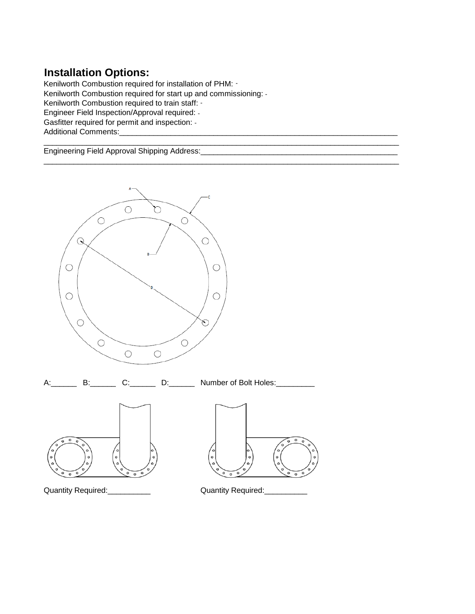## **Installation Options:**

Kenilworth Combustion required for installation of PHM: - Kenilworth Combustion required for start up and commissioning: - Kenilworth Combustion required to train staff: - Engineer Field Inspection/Approval required: - Gasfitter required for permit and inspection: -Additional Comments:\_\_\_\_\_\_\_\_\_\_\_\_\_\_\_\_\_\_\_\_\_\_\_\_\_\_\_\_\_\_\_\_\_\_\_\_\_\_\_\_\_\_\_\_\_\_\_\_\_\_\_\_\_\_\_\_\_\_\_\_\_\_\_\_\_

\_\_\_\_\_\_\_\_\_\_\_\_\_\_\_\_\_\_\_\_\_\_\_\_\_\_\_\_\_\_\_\_\_\_\_\_\_\_\_\_\_\_\_\_\_\_\_\_\_\_\_\_\_\_\_\_\_\_\_\_\_\_\_\_\_\_\_\_\_\_\_\_\_\_\_\_\_\_\_\_\_\_\_ Engineering Field Approval Shipping Address:

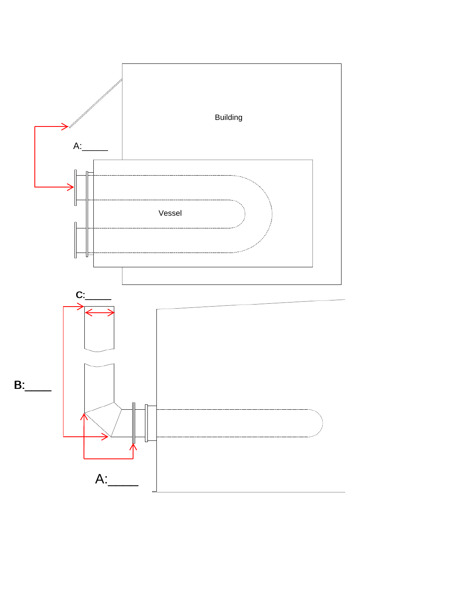